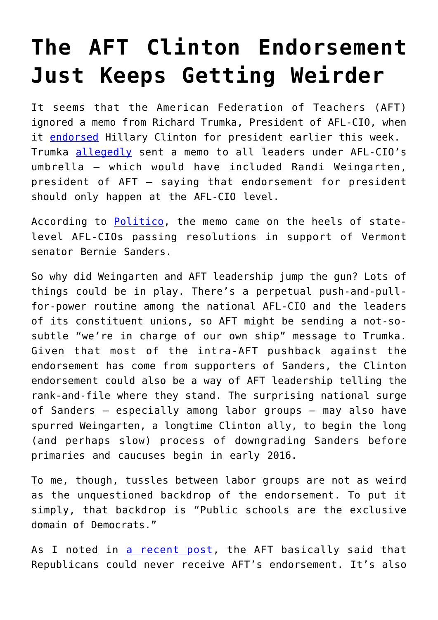## **[The AFT Clinton Endorsement](https://intellectualtakeout.org/2015/07/the-aft-clinton-endorsement-just-keeps-getting-weirder/) [Just Keeps Getting Weirder](https://intellectualtakeout.org/2015/07/the-aft-clinton-endorsement-just-keeps-getting-weirder/)**

It seems that the American Federation of Teachers (AFT) ignored a memo from Richard Trumka, President of AFL-CIO, when it [endorsed](http://freebeacon.com/issues/millionaire-union-head-endorses-millionaire-grandmother/) Hillary Clinton for president earlier this week. Trumka [allegedly](http://www.laborpress.org/sectors/political-action/5594-trumka-says-afl-cio-chapters-can-t-endorse-sanders) sent a memo to all leaders under AFL-CIO's umbrella – which would have included Randi Weingarten, president of AFT – saying that endorsement for president should only happen at the AFL-CIO level.

According to [Politico,](http://www.politico.com/story/2015/07/afl-cio-endorsement-2016-democratic-primary-119701.html) the memo came on the heels of statelevel AFL-CIOs passing resolutions in support of Vermont senator Bernie Sanders.

So why did Weingarten and AFT leadership jump the gun? Lots of things could be in play. There's a perpetual push-and-pullfor-power routine among the national AFL-CIO and the leaders of its constituent unions, so AFT might be sending a not-sosubtle "we're in charge of our own ship" message to Trumka. Given that most of the intra-AFT pushback against the endorsement has come from supporters of Sanders, the Clinton endorsement could also be a way of AFT leadership telling the rank-and-file where they stand. The surprising national surge of Sanders – especially among labor groups – may also have spurred Weingarten, a longtime Clinton ally, to begin the long (and perhaps slow) process of downgrading Sanders before primaries and caucuses begin in early 2016.

To me, though, tussles between labor groups are not as weird as the unquestioned backdrop of the endorsement. To put it simply, that backdrop is "Public schools are the exclusive domain of Democrats."

As I noted in [a recent post,](http://www.better-ed.org/blog/aft-endorses-hillary-clinton-actually%E2%80%A6) the AFT basically said that Republicans could never receive AFT's endorsement. It's also